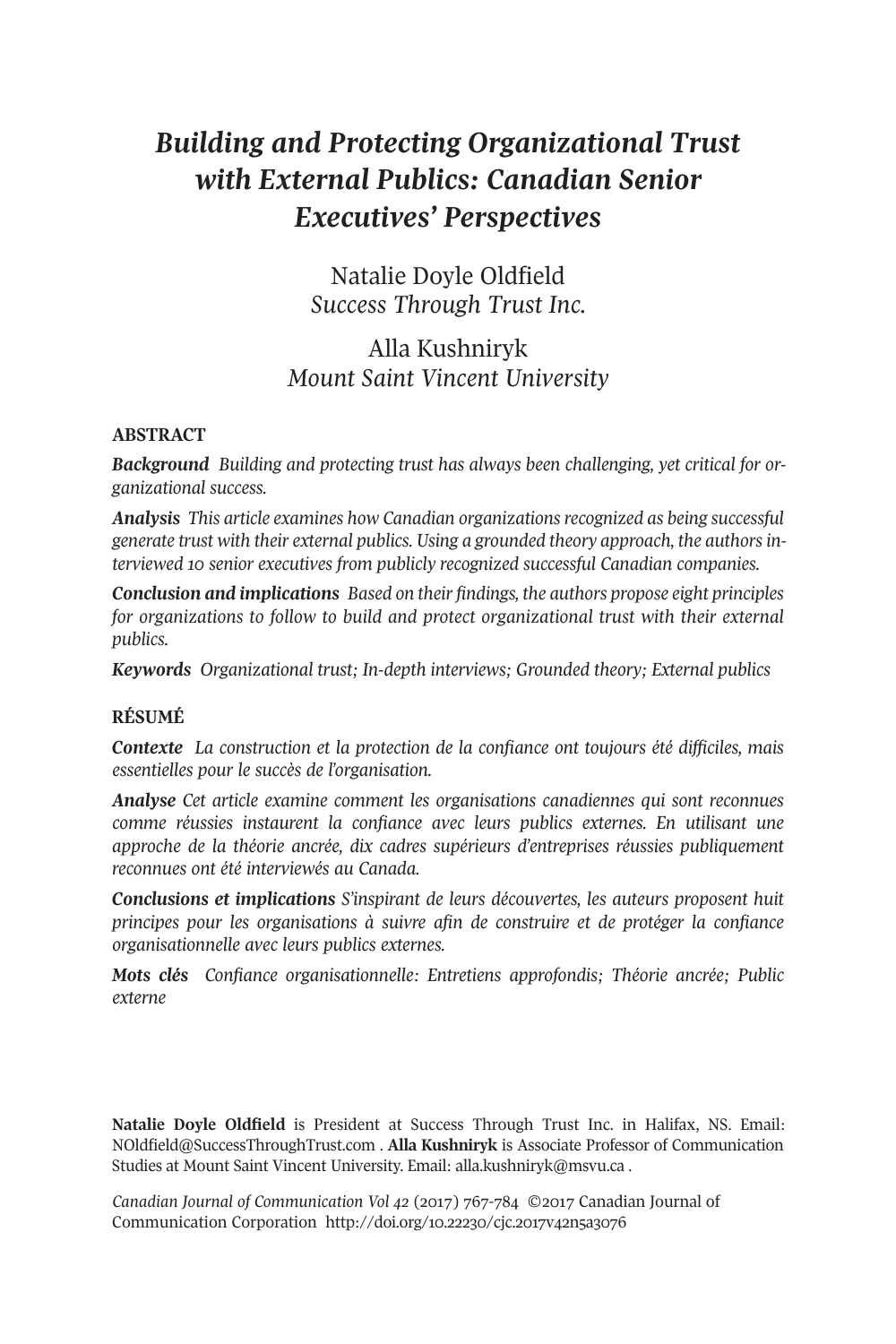# *Building and Protecting Organizational Trust with External Publics: Canadian Senior Executives' Perspectives*

Natalie Doyle Oldfield *Success Through Trust Inc.*

Alla Kushniryk *Mount Saint Vincent University*

# **ABSTRACT**

*Background Building and protecting trust has always been challenging, yet critical for organizational success.*

*Analysis This article examines how Canadian organizationsrecognized as being successful generate trust with their external publics. Using a grounded theory approach, the authorsinterviewed 10 senior executives from publicly recognized successful Canadian companies.*

*Conclusion and implications Based on their findings, the authors propose eight principles for organizations to follow to build and protect organizational trust with their external publics.*

*Keywords Organizational trust; In-depth interviews; Grounded theory; External publics*

# **RÉSUMÉ**

*Contexte La construction et la protection de la confiance ont toujours été difficiles, mais essentielles pour le succès de l'organisation.*

*Analyse Cet article examine comment les organisations canadiennes qui sont reconnues comme réussies instaurent la confiance avec leurs publics externes. En utilisant une approche de la théorie ancrée, dix cadres supérieurs d'entreprises réussies publiquement reconnues ont été interviewés au Canada.*

*Conclusions et implications S'inspirant de leurs découvertes, les auteurs proposent huit principes pour les organisations à suivre afin de construire et de protéger la confiance organisationnelle avec leurs publics externes.*

*Mots clés Confiance organisationnelle: Entretiens approfondis; Théorie ancrée; Public externe*

**Natalie Doyle Oldfield** is President at Success Through Trust Inc. in Halifax, NS. Email: [NOldfield@SuccessThroughTrust.com](mailto:NOldfield@SuccessThroughTrust.com) . **Alla Kushniryk** is Associate Professor of Communication Studies at Mount Saint Vincent University. Email: [alla.kushniryk@msvu.ca](mailto:alla.kushniryk@msvu.ca) .

*Canadian Journal of [Communication](http://www.cjc-online.ca) Vol 42* (2017) 767-784 ©2017 Canadian Journal of Communication Corporation <http://doi.org/10.22230/cjc.2017v42n5a3076>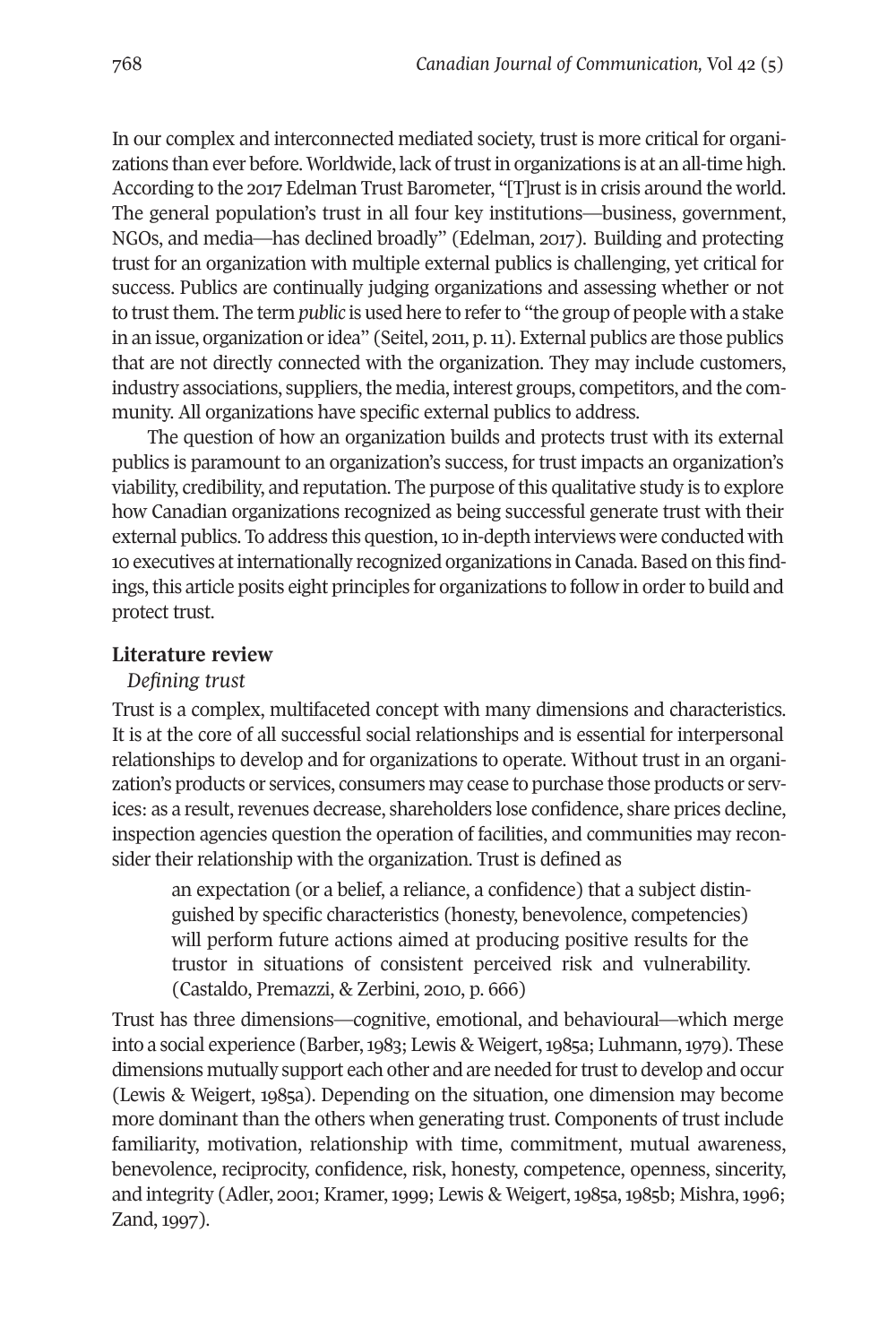In our complex and interconnected mediated society, trust is more critical for organizations than ever before. Worldwide, lack of trust in organizations is at an all-time high. According to the 2017 Edelman Trust Barometer, "[T]rust is in crisis around the world. The general population's trust in all four key institutions—business, government, NGOs, and media—has declined broadly" (Edelman, 2017). Building and protecting trust for an organization with multiple external publics is challenging, yet critical for success. Publics are continually judging organizations and assessing whether or not to trust them. The term *public* is used here to refer to "the group of people with a stake in an issue, organization oridea" (Seitel, 2011, p.11). External publics are those publics that are not directly connected with the organization. They may include customers, industry associations, suppliers, the media, interest groups, competitors, and the community. All organizations have specific external publics to address.

The question of how an organization builds and protects trust with its external publics is paramount to an organization's success, for trust impacts an organization's viability, credibility, and reputation. The purpose of this qualitative study is to explore how Canadian organizations recognized as being successful generate trust with their external publics. To address this question, 10 in-depth interviews were conducted with 10 executives atinternationally recognized organizations in Canada. Based on this findings, this article posits eight principles for organizations to follow in order to build and protect trust.

#### **Literature review**

# *Defining trust*

Trust is a complex, multifaceted concept with many dimensions and characteristics. It is at the core of all successful social relationships and is essential for interpersonal relationships to develop and for organizations to operate. Without trust in an organization's products or services, consumers may cease to purchase those products or services: as a result, revenues decrease, shareholders lose confidence, share prices decline, inspection agencies question the operation of facilities, and communities may reconsider their relationship with the organization. Trust is defined as

an expectation (or a belief, a reliance, a confidence) that a subject distinguished by specific characteristics (honesty, benevolence, competencies) will perform future actions aimed at producing positive results for the trustor in situations of consistent perceived risk and vulnerability. (Castaldo, Premazzi, & Zerbini, 2010, p. 666)

Trust has three dimensions—cognitive, emotional, and behavioural—which merge into a social experience (Barber,1983; Lewis & Weigert,1985a; Luhmann,1979). These dimensions mutually support each other and are needed for trust to develop and occur (Lewis & Weigert, 1985a). Depending on the situation, one dimension may become more dominant than the others when generating trust. Components of trust include familiarity, motivation, relationship with time, commitment, mutual awareness, benevolence, reciprocity, confidence, risk, honesty, competence, openness, sincerity, and integrity (Adler, 2001; Kramer,1999; Lewis & Weigert,1985a,1985b; Mishra,1996; Zand, 1997).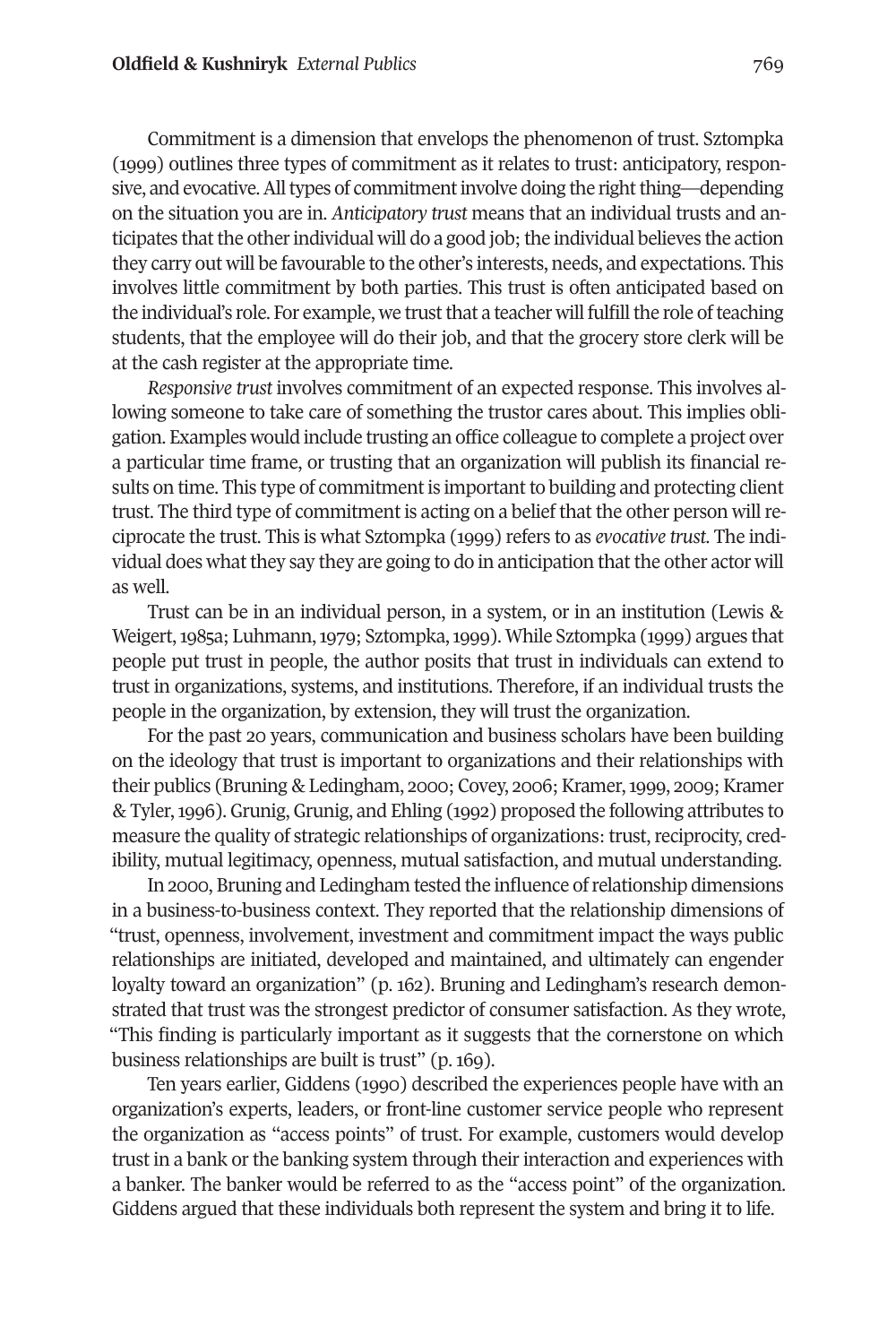Commitment is a dimension that envelops the phenomenon of trust. Sztompka (1999) outlines three types of commitment as it relates to trust: anticipatory, responsive, and evocative. All types of commitment involve doing the right thing—depending on the situation you are in. *Anticipatory trust* means that an individual trusts and anticipates that the other individual will do a good job; the individual believes the action they carry out will be favourable to the other's interests, needs, and expectations. This involves little commitment by both parties. This trust is often anticipated based on the individual's role. For example, we trust that a teacher will fulfill the role of teaching students, that the employee will do their job, and that the grocery store clerk will be at the cash register at the appropriate time.

*Responsive trust* involves commitment of an expected response. This involves allowing someone to take care of something the trustor cares about. This implies obligation. Examples would include trusting an office colleague to complete a project over a particular time frame, or trusting that an organization will publish its financial results on time. This type of commitment is important to building and protecting client trust. The third type of commitment is acting on a belief that the other person willreciprocate the trust. This is what Sztompka (1999) refers to as *evocative trust*. The individual does what they say they are going to do in anticipation that the other actor will as well.

Trust can be in an individual person, in a system, or in an institution (Lewis & Weigert, 1985a; Luhmann, 1979; Sztompka, 1999). While Sztompka (1999) argues that people put trust in people, the author posits that trust in individuals can extend to trust in organizations, systems, and institutions. Therefore, if an individual trusts the people in the organization, by extension, they will trust the organization.

For the past 20 years, communication and business scholars have been building on the ideology that trust is important to organizations and their relationships with their publics (Bruning & Ledingham, 2000; Covey, 2006; Kramer, 1999, 2009; Kramer & Tyler,1996). Grunig, Grunig, and Ehling (1992) proposed the following attributes to measure the quality of strategic relationships of organizations: trust, reciprocity, credibility, mutual legitimacy, openness, mutual satisfaction, and mutual understanding.

In 2000, Bruning and Ledingham tested the influence ofrelationship dimensions in a business-to-business context. They reported that the relationship dimensions of "trust, openness, involvement, investment and commitment impact the ways public relationships are initiated, developed and maintained, and ultimately can engender loyalty toward an organization" (p. 162). Bruning and Ledingham's research demonstrated that trust was the strongest predictor of consumer satisfaction. As they wrote, "This finding is particularly important as it suggests that the cornerstone on which business relationships are built is trust" (p. 169).

Ten years earlier, Giddens (1990) described the experiences people have with an organization's experts, leaders, or front-line customer service people who represent the organization as "access points" of trust. For example, customers would develop trust in a bank or the banking system through their interaction and experiences with a banker. The banker would be referred to as the "access point" of the organization. Giddens argued that these individuals both represent the system and bring it to life.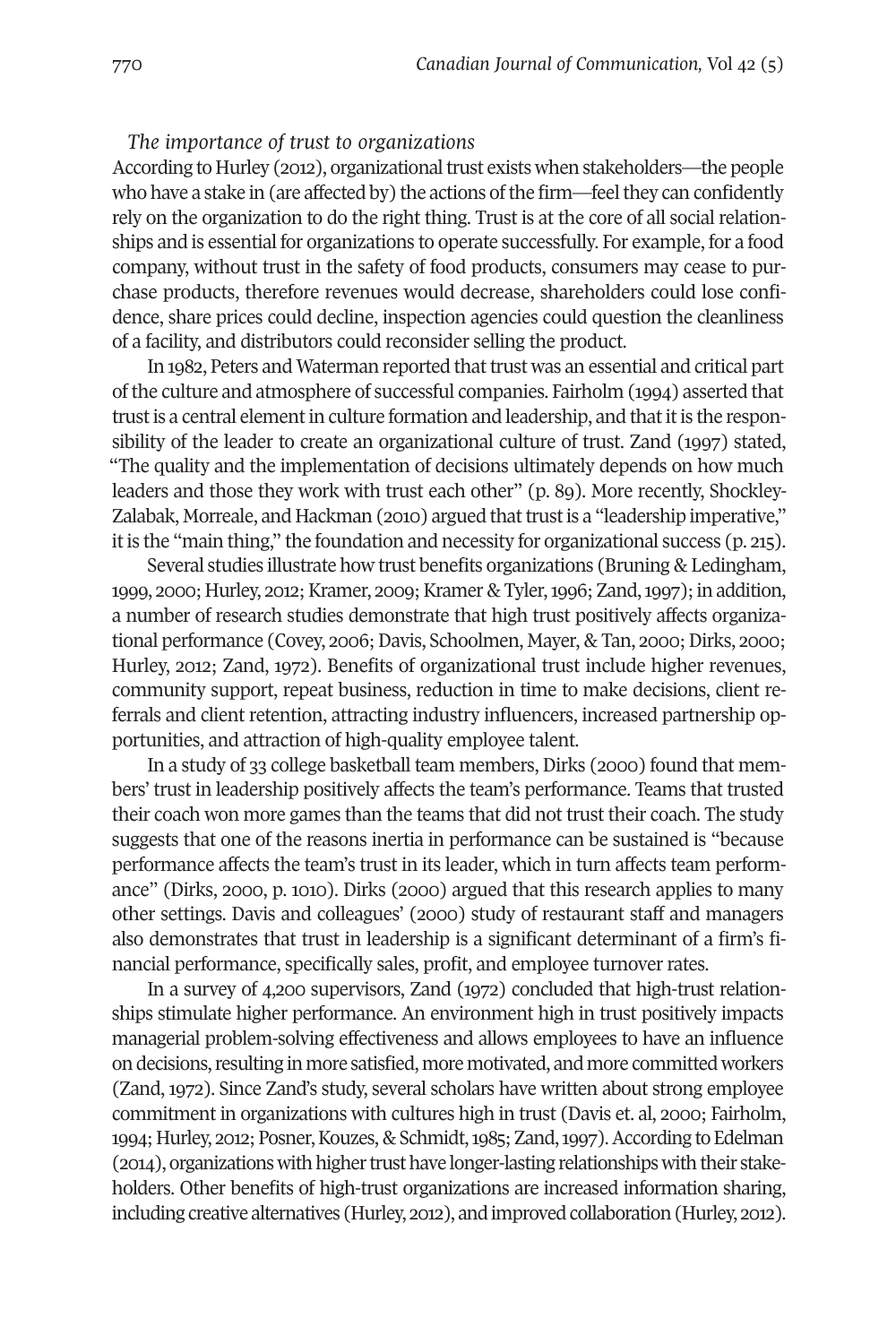# *The importance of trust to organizations*

According to Hurley (2012), organizational trust exists when stakeholders—the people who have a stake in (are affected by) the actions of the firm—feel they can confidently rely on the organization to do the right thing. Trust is at the core of all social relationships and is essential for organizations to operate successfully. For example, for a food company, without trust in the safety of food products, consumers may cease to purchase products, therefore revenues would decrease, shareholders could lose confidence, share prices could decline, inspection agencies could question the cleanliness of a facility, and distributors could reconsider selling the product.

In 1982, Peters and Waterman reported that trust was an essential and critical part ofthe culture and atmosphere of successful companies. Fairholm (1994) asserted that trust is a central element in culture formation and leadership, and that it is the responsibility of the leader to create an organizational culture of trust. Zand (1997) stated, "The quality and the implementation of decisions ultimately depends on how much leaders and those they work with trust each other" (p. 89). More recently, Shockley-Zalabak, Morreale, and Hackman (2010) argued that trust is a "leadership imperative," it is the "main thing," the foundation and necessity for organizational success (p. 215).

Several studies illustrate how trust benefits organizations (Bruning & Ledingham, 1999, 2000; Hurley, 2012; Kramer, 2009; Kramer & Tyler, 1996; Zand, 1997); in addition, a number of research studies demonstrate that high trust positively affects organizational performance (Covey, 2006; Davis, Schoolmen, Mayer, & Tan, 2000; Dirks, 2000; Hurley, 2012; Zand, 1972). Benefits of organizational trust include higher revenues, community support, repeat business, reduction in time to make decisions, client referrals and client retention, attracting industry influencers, increased partnership opportunities, and attraction of high-quality employee talent.

In a study of 33 college basketball team members, Dirks (2000) found that members' trust in leadership positively affects the team's performance. Teams that trusted their coach won more games than the teams that did not trust their coach. The study suggests that one of the reasons inertia in performance can be sustained is "because performance affects the team's trust in its leader, which in turn affects team performance" (Dirks, 2000, p. 1010). Dirks (2000) argued that this research applies to many other settings. Davis and colleagues' (2000) study of restaurant staff and managers also demonstrates that trust in leadership is a significant determinant of a firm's financial performance, specifically sales, profit, and employee turnover rates.

In a survey of 4,200 supervisors, Zand (1972) concluded that high-trust relationships stimulate higher performance. An environment high in trust positively impacts managerial problem-solving effectiveness and allows employees to have an influence ondecisions,resulting in more satisfied, more motivated, and more committedworkers (Zand, 1972). Since Zand's study, several scholars have written about strong employee commitment in organizations with cultures high in trust (Davis et. al, 2000; Fairholm, 1994; Hurley, 2012; Posner, Kouzes, & Schmidt, 1985; Zand, 1997). According to Edelman (2014), organizations with higher trust have longer-lasting relationships with their stakeholders. Other benefits of high-trust organizations are increased information sharing, including creative alternatives (Hurley, 2012), and improved collaboration(Hurley, 2012).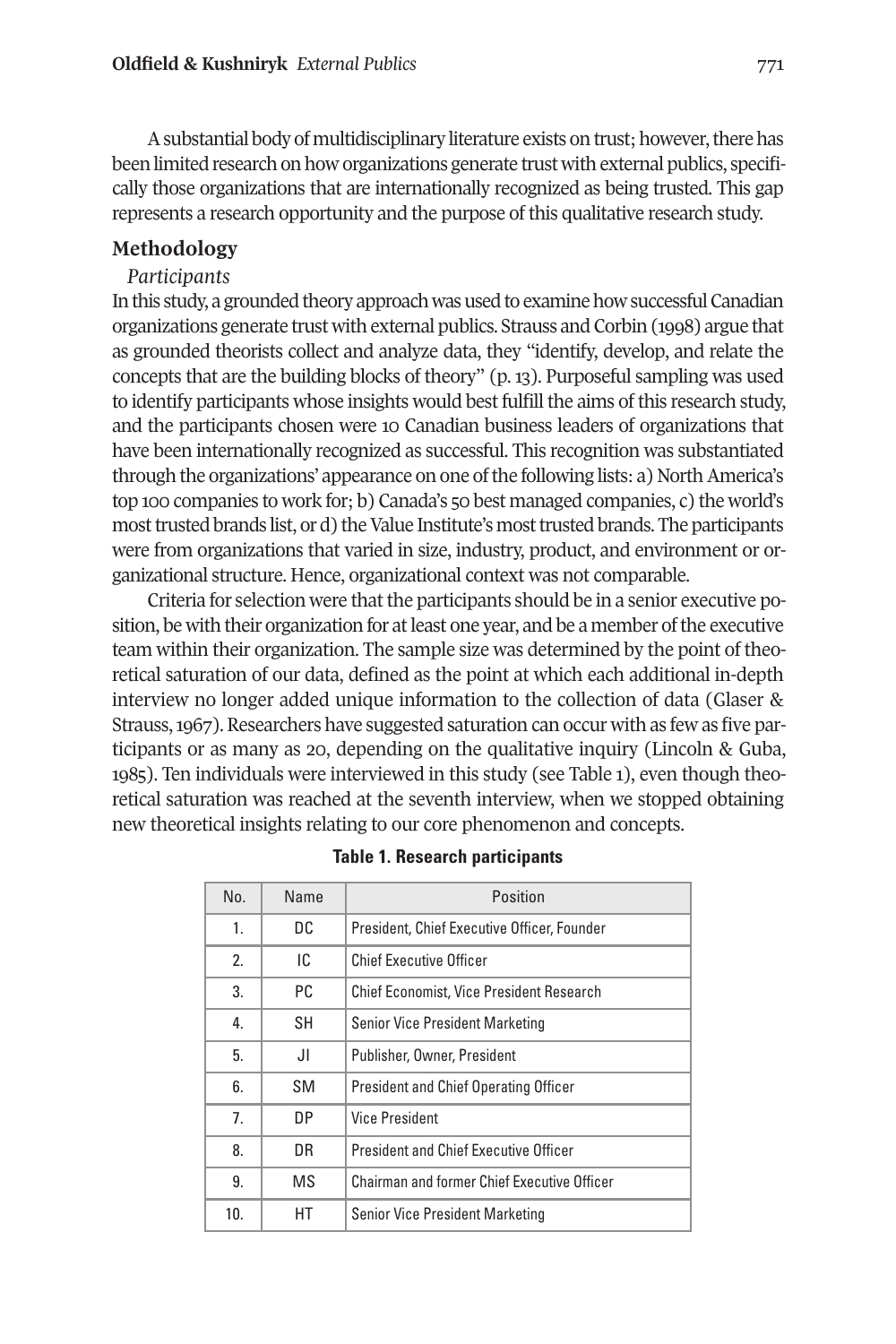A substantial body of multidisciplinary literature exists on trust; however, there has been limited research on how organizations generate trust with external publics, specifically those organizations that are internationally recognized as being trusted. This gap represents a research opportunity and the purpose of this qualitative research study.

## **Methodology**

# *Participants*

In this study, a grounded theory approach was used to examine how successful Canadian organizations generate trustwithexternal publics. Strauss andCorbin(1998) argue that as grounded theorists collect and analyze data, they "identify, develop, and relate the concepts that are the building blocks of theory" (p. 13). Purposeful sampling was used to identify participants whose insights would best fulfill the aims of this research study, and the participants chosen were 10 Canadian business leaders of organizations that have been internationally recognized as successful. This recognition was substantiated through the organizations' appearance on one of the following lists: a) North America's top 100 companies to work for; b) Canada's 50 best managed companies, c) the world's most trusted brands list, or d) the Value Institute's most trusted brands. The participants were from organizations that varied in size, industry, product, and environment or organizational structure. Hence, organizational context was not comparable.

Criteria for selection were that the participants should be in a senior executive position, be with their organization for at least one year, and be a member of the executive team within their organization. The sample size was determined by the point of theoretical saturation of our data, defined as the point at which each additional in-depth interview no longer added unique information to the collection of data (Glaser & Strauss,1967). Researchers have suggested saturation can occur with as few as five participants or as many as 20, depending on the qualitative inquiry (Lincoln & Guba, 1985). Ten individuals were interviewed in this study (see Table 1), even though theoretical saturation was reached at the seventh interview, when we stopped obtaining new theoretical insights relating to our core phenomenon and concepts.

| No. | Name      | Position                                           |
|-----|-----------|----------------------------------------------------|
| 1.  | DC.       | President, Chief Executive Officer, Founder        |
| 2.  | IC        | <b>Chief Executive Officer</b>                     |
| 3.  | РC        | <b>Chief Economist, Vice President Research</b>    |
| 4.  | SΗ        | Senior Vice President Marketing                    |
| 5.  | JI        | Publisher, Owner, President                        |
| 6.  | <b>SM</b> | President and Chief Operating Officer              |
| 7.  | DP        | <b>Vice President</b>                              |
| 8.  | DR.       | <b>President and Chief Executive Officer</b>       |
| 9.  | MS        | <b>Chairman and former Chief Executive Officer</b> |
| 10. | HТ        | Senior Vice President Marketing                    |

#### **Table 1. Research participants**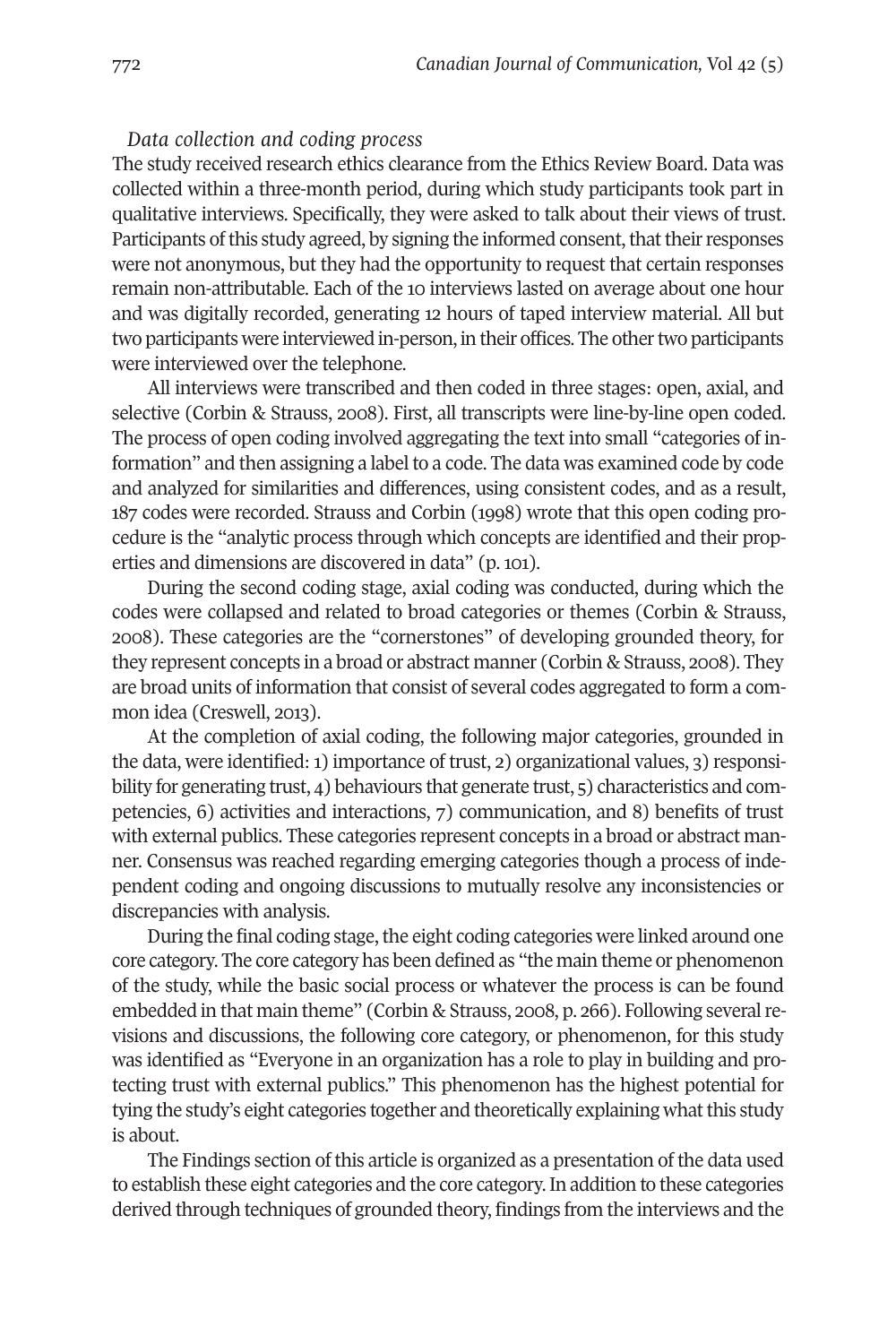# *Data collection and coding process*

The study received research ethics clearance from the Ethics Review Board. Data was collected within a three-month period, during which study participants took part in qualitative interviews. Specifically, they were asked to talk about their views of trust. Participants of this study agreed, by signing the informed consent, that their responses were not anonymous, but they had the opportunity to request that certain responses remain non-attributable. Each of the 10 interviews lasted on average about one hour and was digitally recorded, generating 12 hours of taped interview material. All but two participants were interviewed in-person, in their offices. The othertwo participants were interviewed over the telephone.

All interviews were transcribed and then coded in three stages: open, axial, and selective (Corbin & Strauss, 2008). First, all transcripts were line-by-line open coded. The process of open coding involved aggregating the text into small "categories of information" and then assigning a label to a code. The data was examined code by code and analyzed for similarities and differences, using consistent codes, and as a result, 187 codes were recorded. Strauss and Corbin (1998) wrote that this open coding procedure is the "analytic process through which concepts are identified and their properties and dimensions are discovered in data" (p. 101).

During the second coding stage, axial coding was conducted, during which the codes were collapsed and related to broad categories or themes (Corbin & Strauss, 2008). These categories are the "cornerstones" of developing grounded theory, for they represent concepts in a broad or abstract manner (Corbin & Strauss, 2008). They are broad units of information that consist of several codes aggregated to form a common idea (Creswell, 2013).

At the completion of axial coding, the following major categories, grounded in the data, were identified: 1) importance of trust, 2) organizational values, 3) responsibility for generating trust, 4) behaviours that generate trust, 5) characteristics and competencies, 6) activities and interactions, 7) communication, and 8) benefits of trust with external publics. These categories represent concepts in a broad or abstract manner. Consensus was reached regarding emerging categories though a process of independent coding and ongoing discussions to mutually resolve any inconsistencies or discrepancies with analysis.

During the final coding stage, the eight coding categories were linked around one core category. The core category has been defined as "the main theme or phenomenon of the study, while the basic social process or whatever the process is can be found embedded in that main theme" (Corbin & Strauss, 2008, p. 266). Following severalrevisions and discussions, the following core category, or phenomenon, for this study was identified as "Everyone in an organization has a role to play in building and protecting trust with external publics." This phenomenon has the highest potential for tying the study's eight categories together and theoretically explaining what this study is about.

The Findings section of this article is organized as a presentation of the data used to establish these eight categories and the core category.In addition to these categories derived through techniques of grounded theory, findings from the interviews and the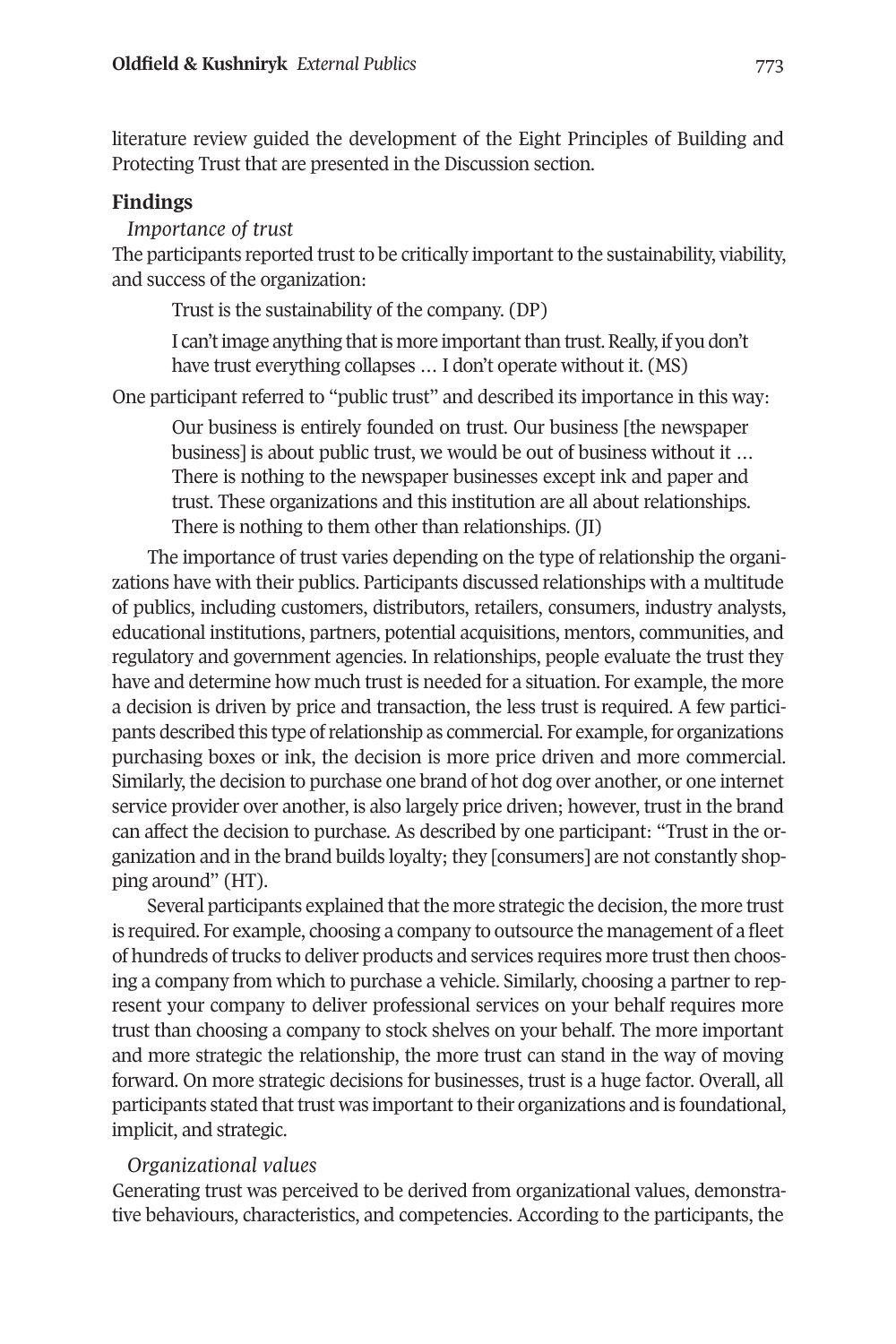literature review guided the development of the Eight Principles of Building and Protecting Trust that are presented in the Discussion section.

## **Findings**

*Importance of trust*

The participants reported trust to be critically important to the sustainability, viability, and success of the organization:

Trust is the sustainability of the company. (DP)

I can't image anything that is more important than trust. Really, if you don't have trust everything collapses … I don't operate without it. (MS)

One participant referred to "public trust" and described its importance in this way:

Our business is entirely founded on trust. Our business [the newspaper business] is about public trust, we would be out of business without it … There is nothing to the newspaper businesses except ink and paper and trust. These organizations and this institution are all about relationships. There is nothing to them other than relationships. (JI)

The importance of trust varies depending on the type of relationship the organizations have with their publics. Participants discussed relationships with a multitude of publics, including customers, distributors, retailers, consumers, industry analysts, educational institutions, partners, potential acquisitions, mentors, communities, and regulatory and government agencies. In relationships, people evaluate the trust they have and determine how much trust is needed for a situation. For example, the more a decision is driven by price and transaction, the less trust is required. A few participants described this type ofrelationship as commercial. For example, for organizations purchasing boxes or ink, the decision is more price driven and more commercial. Similarly, the decision to purchase one brand of hot dog over another, or one internet service provider over another, is also largely price driven; however, trust in the brand can affect the decision to purchase. As described by one participant: "Trust in the organization and in the brand builds loyalty; they [consumers] are not constantly shopping around" (HT).

Several participants explained that the more strategic the decision, the more trust is required. For example, choosing a company to outsource the management of a fleet of hundreds of trucks to deliver products and services requires more trust then choosing a company from which to purchase a vehicle. Similarly, choosing a partner to represent your company to deliver professional services on your behalf requires more trust than choosing a company to stock shelves on your behalf. The more important and more strategic the relationship, the more trust can stand in the way of moving forward. On more strategic decisions for businesses, trust is a huge factor. Overall, all participants stated that trust was important to their organizations and is foundational, implicit, and strategic.

## *Organizational values*

Generating trust was perceived to be derived from organizational values, demonstrative behaviours, characteristics, and competencies. According to the participants, the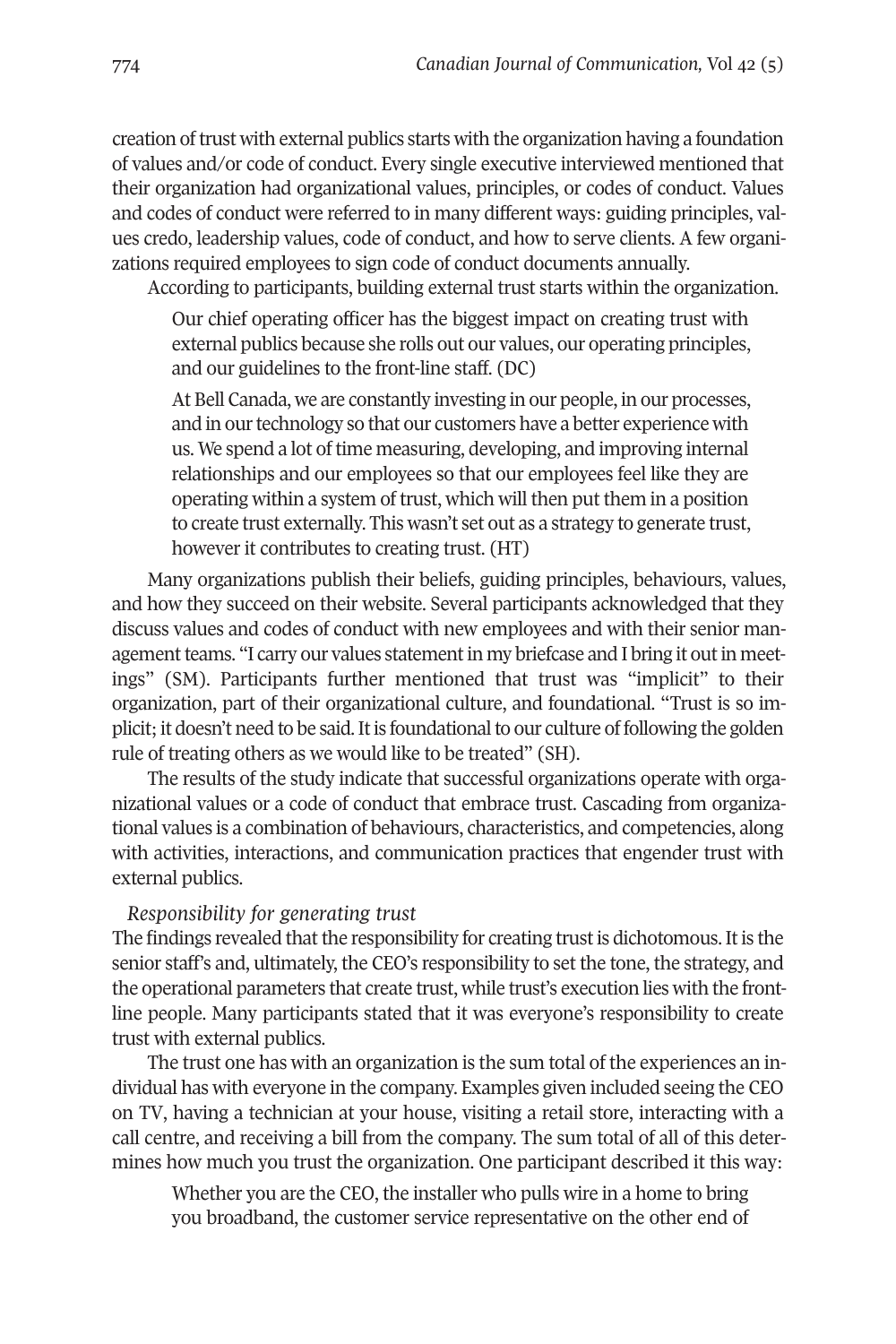creation oftrust with external publics starts with the organization having a foundation of values and/or code of conduct. Every single executive interviewed mentioned that their organization had organizational values, principles, or codes of conduct. Values and codes of conduct were referred to in many different ways: guiding principles, values credo, leadership values, code of conduct, and how to serve clients. A few organizations required employees to sign code of conduct documents annually.

According to participants, building external trust starts within the organization.

Our chief operating officer has the biggest impact on creating trust with external publics because she rolls out our values, our operating principles, and our guidelines to the front-line staff. (DC)

At Bell Canada, we are constantly investing in our people, in our processes, and in our technology so that our customers have a better experience with us. We spend a lot of time measuring, developing, and improving internal relationships and our employees so that our employees feel like they are operating within a system of trust, which will then put them in a position to create trust externally. This wasn't set out as a strategy to generate trust, however it contributes to creating trust. (HT)

Many organizations publish their beliefs, guiding principles, behaviours, values, and how they succeed on their website. Several participants acknowledged that they discuss values and codes of conduct with new employees and with their senior management teams. "I carry our values statement in my briefcase and I bring it out in meetings" (SM). Participants further mentioned that trust was "implicit" to their organization, part of their organizational culture, and foundational. "Trust is so implicit; it doesn't need to be said. It is foundational to our culture of following the golden rule of treating others as we would like to be treated" (SH).

The results of the study indicate that successful organizations operate with organizational values or a code of conduct that embrace trust. Cascading from organizational values is a combination of behaviours, characteristics, and competencies, along with activities, interactions, and communication practices that engender trust with external publics.

## *Responsibility for generating trust*

The findings revealed that the responsibility for creating trust is dichotomous. It is the senior staff's and, ultimately, the CEO's responsibility to set the tone, the strategy, and the operational parameters that create trust, while trust's execution lies with the frontline people. Many participants stated that it was everyone's responsibility to create trust with external publics.

The trust one has with an organization is the sum total of the experiences an individual has with everyone in the company. Examples given included seeing the CEO on TV, having a technician at your house, visiting a retail store, interacting with a call centre, and receiving a bill from the company. The sum total of all of this determines how much you trust the organization. One participant described it this way:

Whether you are the CEO, the installer who pulls wire in a home to bring you broadband, the customer service representative on the other end of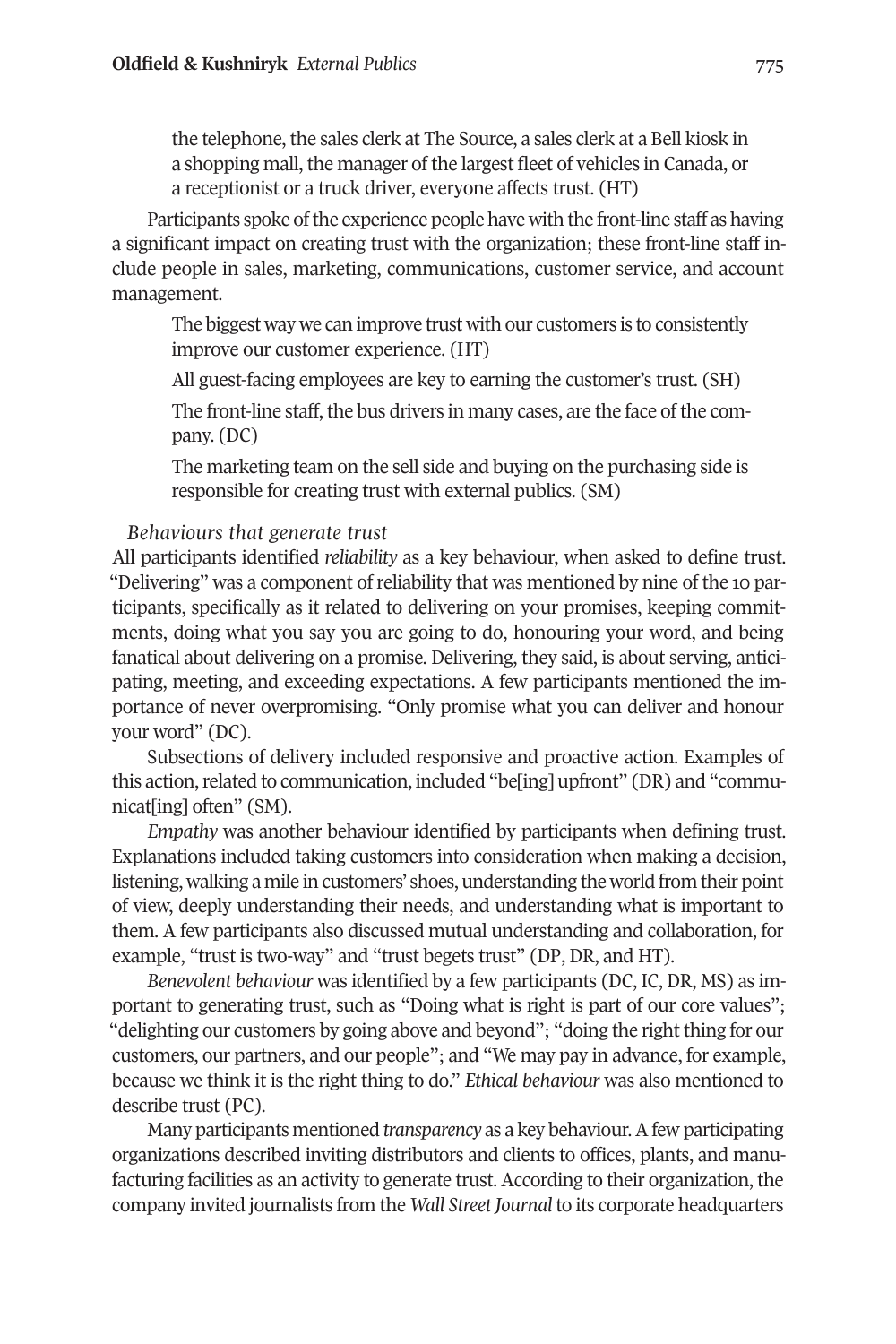the telephone, the sales clerk at The Source, a sales clerk at a Bell kiosk in a shopping mall, the manager of the largest fleet of vehicles in Canada, or a receptionist or a truck driver, everyone affects trust. (HT)

Participants spoke of the experience people have with the front-line staff as having a significant impact on creating trust with the organization; these front-line staff include people in sales, marketing, communications, customer service, and account management.

The biggest way we can improve trust with our customers is to consistently improve our customer experience. (HT)

All guest-facing employees are key to earning the customer's trust. (SH)

The front-line staff, the bus drivers in many cases, are the face of the company. (DC)

The marketing team on the sell side and buying on the purchasing side is responsible for creating trust with external publics. (SM)

## *Behaviours that generate trust*

All participants identified *reliability* as a key behaviour, when asked to define trust. "Delivering" was a component of reliability that was mentioned by nine of the 10 participants, specifically as it related to delivering on your promises, keeping commitments, doing what you say you are going to do, honouring your word, and being fanatical about delivering on a promise. Delivering, they said, is about serving, anticipating, meeting, and exceeding expectations. A few participants mentioned the importance of never overpromising. "Only promise what you can deliver and honour your word" (DC).

Subsections of delivery included responsive and proactive action. Examples of this action, related to communication, included "be[ing] upfront" (DR) and "communicat[ing] often" (SM).

*Empathy* was another behaviour identified by participants when defining trust. Explanations included taking customers into consideration when making a decision, listening, walking a mile in customers' shoes, understanding the world from their point of view, deeply understanding their needs, and understanding what is important to them. A few participants also discussed mutual understanding and collaboration, for example, "trust is two-way" and "trust begets trust" (DP, DR, and HT).

*Benevolent behaviour* was identified by a few participants (DC, IC, DR, MS) as important to generating trust, such as "Doing what is right is part of our core values"; "delighting our customers by going above and beyond"; "doing the rightthing for our customers, our partners, and our people"; and "We may pay in advance, for example, because we think it is the right thing to do." *Ethical behaviour* was also mentioned to describe trust (PC).

Many participants mentioned *transparency* as a key behaviour.Afew participating organizations described inviting distributors and clients to offices, plants, and manufacturing facilities as an activity to generate trust. According to their organization, the company invited journalists from the *Wall Street Journal* to its corporate headquarters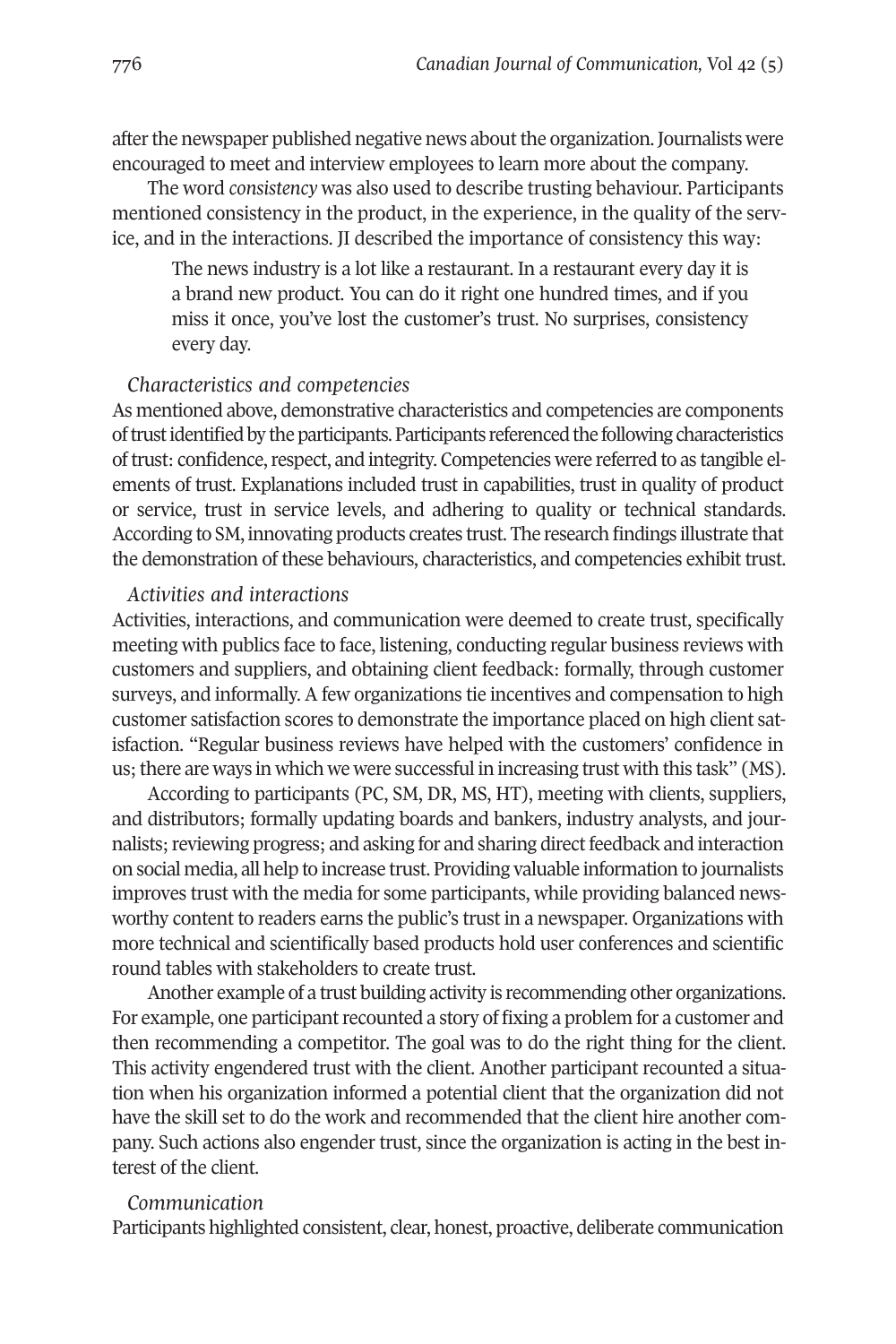after the newspaper published negative news about the organization. Journalists were encouraged to meet and interview employees to learn more about the company.

The word *consistency* was also used to describe trusting behaviour. Participants mentioned consistency in the product, in the experience, in the quality of the service, and in the interactions. JI described the importance of consistency this way:

The news industry is a lot like a restaurant. In a restaurant every day it is a brand new product. You can do it right one hundred times, and if you miss it once, you've lost the customer's trust. No surprises, consistency every day.

#### *Characteristics and competencies*

As mentioned above, demonstrative characteristics and competencies are components of trust identified by the participants. Participants referenced the following characteristics oftrust: confidence,respect, and integrity. Competencies were referred to as tangible elements of trust. Explanations included trust in capabilities, trust in quality of product or service, trust in service levels, and adhering to quality or technical standards. According to SM, innovating products creates trust. The research findings illustrate that the demonstration of these behaviours, characteristics, and competencies exhibit trust.

## *Activities and interactions*

Activities, interactions, and communication were deemed to create trust, specifically meeting with publics face to face, listening, conducting regular business reviews with customers and suppliers, and obtaining client feedback: formally, through customer surveys, and informally. A few organizations tie incentives and compensation to high customer satisfaction scores to demonstrate the importance placed on high client satisfaction. "Regular business reviews have helped with the customers' confidence in us;there are ways in which we were successful in increasing trust with this task" (MS).

According to participants (PC, SM, DR, MS, HT), meeting with clients, suppliers, and distributors; formally updating boards and bankers, industry analysts, and journalists; reviewing progress; and asking for and sharing direct feedback and interaction on social media, all help to increase trust. Providing valuable information to journalists improves trust with the media for some participants, while providing balanced newsworthy content to readers earns the public's trust in a newspaper. Organizations with more technical and scientifically based products hold user conferences and scientific round tables with stakeholders to create trust.

Another example of a trust building activity is recommending other organizations. For example, one participant recounted a story of fixing a problem for a customer and then recommending a competitor. The goal was to do the right thing for the client. This activity engendered trust with the client. Another participant recounted a situation when his organization informed a potential client that the organization did not have the skill set to do the work and recommended that the client hire another company. Such actions also engender trust, since the organization is acting in the best interest of the client.

## *Communication*

Participants highlighted consistent, clear, honest, proactive, deliberate communication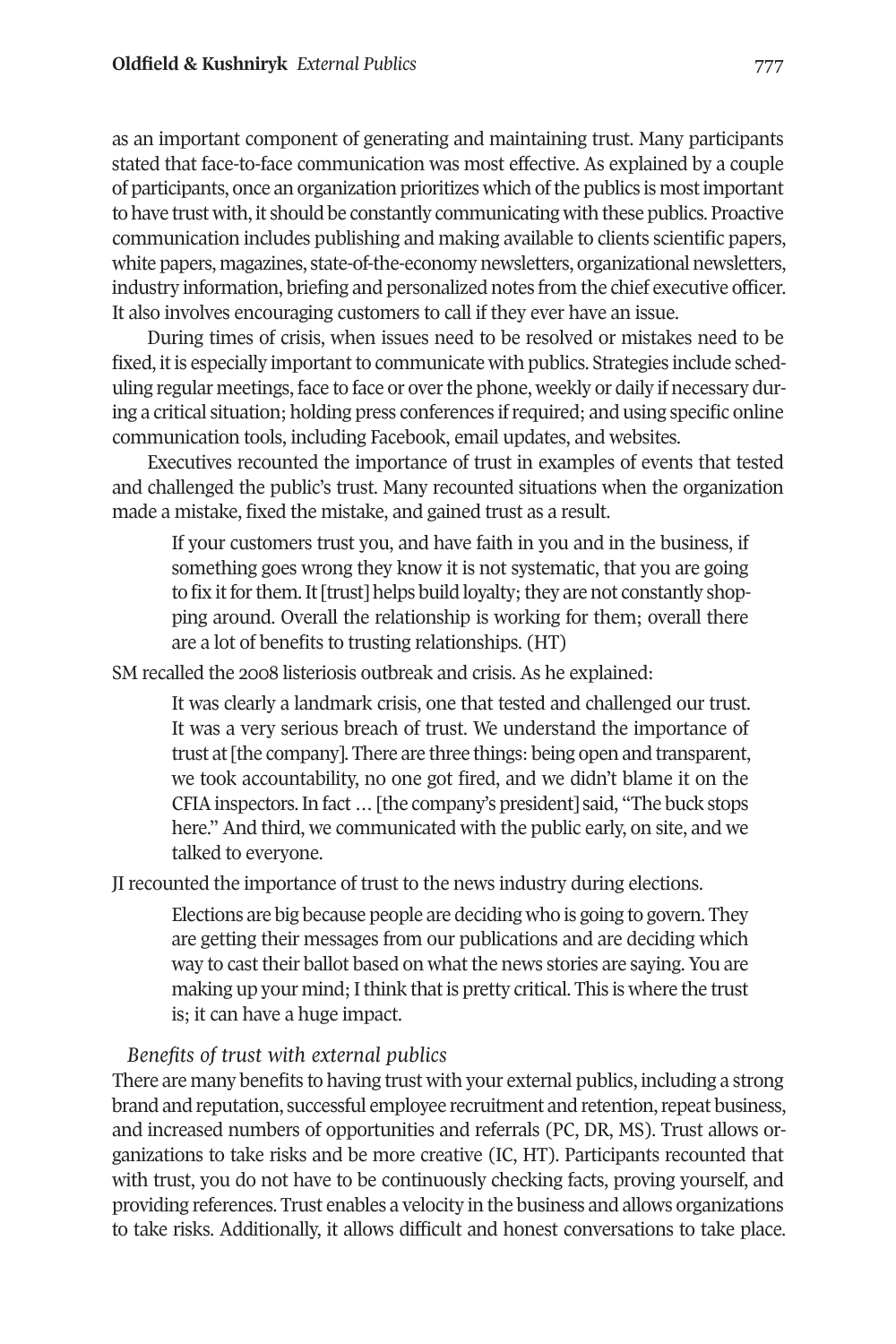as an important component of generating and maintaining trust. Many participants stated that face-to-face communication was most effective. As explained by a couple of participants, once an organization prioritizes which of the publics is most important to have trust with, it should be constantly communicating with these publics. Proactive communication includes publishing and making available to clients scientific papers, white papers, magazines, state-of-the-economy newsletters, organizational newsletters, industry information, briefing and personalized notes from the chief executive officer. It also involves encouraging customers to call if they ever have an issue.

During times of crisis, when issues need to be resolved or mistakes need to be fixed, it is especially important to communicate with publics. Strategies include scheduling regular meetings, face to face or overthe phone, weekly or daily if necessary during a critical situation; holding press conferences ifrequired; and using specific online communication tools, including Facebook, email updates, and websites.

Executives recounted the importance of trust in examples of events that tested and challenged the public's trust. Many recounted situations when the organization made a mistake, fixed the mistake, and gained trust as a result.

If your customers trust you, and have faith in you and in the business, if something goes wrong they know it is not systematic, that you are going to fix it for them. It [trust] helps build loyalty; they are not constantly shopping around. Overall the relationship is working for them; overall there are a lot of benefits to trusting relationships. (HT)

SM recalled the 2008 listeriosis outbreak and crisis. As he explained:

It was clearly a landmark crisis, one that tested and challenged our trust. It was a very serious breach of trust. We understand the importance of trust at [the company]. There are three things: being open and transparent, we took accountability, no one got fired, and we didn't blame it on the CFIA inspectors. In fact ... [the company's president] said, "The buck stops here." And third, we communicated with the public early, on site, and we talked to everyone.

JI recounted the importance of trust to the news industry during elections.

Elections are big because people are deciding who is going to govern. They are getting their messages from our publications and are deciding which way to cast their ballot based on what the news stories are saying. You are making up your mind; I think that is pretty critical. This is where the trust is; it can have a huge impact.

## *Benefits of trust with external publics*

There are many benefits to having trust with your external publics, including a strong brand and reputation, successful employee recruitment and retention, repeat business, and increased numbers of opportunities and referrals (PC, DR, MS). Trust allows organizations to take risks and be more creative (IC, HT). Participants recounted that with trust, you do not have to be continuously checking facts, proving yourself, and providing references. Trust enables a velocity in the business and allows organizations to take risks. Additionally, it allows difficult and honest conversations to take place.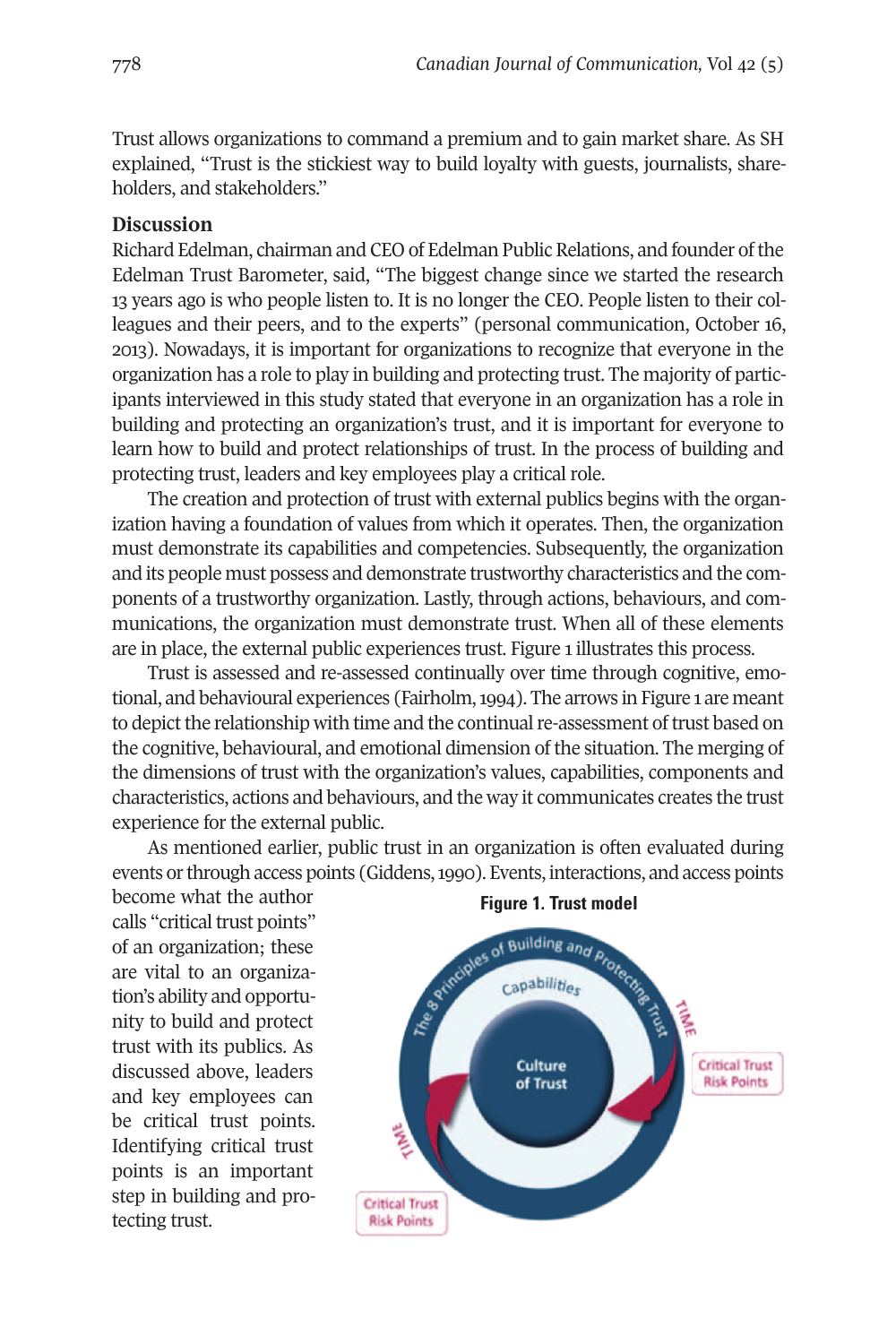Trust allows organizations to command a premium and to gain market share. As SH explained, "Trust is the stickiest way to build loyalty with guests, journalists, shareholders, and stakeholders."

# **Discussion**

Richard Edelman, chairman and CEO of Edelman Public Relations, and founder ofthe Edelman Trust Barometer, said, "The biggest change since we started the research 13 years ago is who people listen to. It is no longer the CEO. People listen to their colleagues and their peers, and to the experts" (personal communication, October 16, 2013). Nowadays, it is important for organizations to recognize that everyone in the organization has a role to play in building and protecting trust. The majority of participants interviewed in this study stated that everyone in an organization has a role in building and protecting an organization's trust, and it is important for everyone to learn how to build and protect relationships of trust. In the process of building and protecting trust, leaders and key employees play a critical role.

The creation and protection of trust with external publics begins with the organization having a foundation of values from which it operates. Then, the organization must demonstrate its capabilities and competencies. Subsequently, the organization and its people must possess and demonstrate trustworthy characteristics and the components of a trustworthy organization. Lastly, through actions, behaviours, and communications, the organization must demonstrate trust. When all of these elements are in place, the external public experiences trust. Figure 1 illustrates this process.

Trust is assessed and re-assessed continually over time through cognitive, emotional, and behavioural experiences (Fairholm,1994). The arrows in Figure 1 are meant to depict the relationship with time and the continual re-assessment of trust based on the cognitive, behavioural, and emotional dimension of the situation. The merging of the dimensions of trust with the organization's values, capabilities, components and characteristics, actions and behaviours, and the way it communicates creates the trust experience for the external public.

As mentioned earlier, public trust in an organization is often evaluated during events or through access points (Giddens, 1990). Events, interactions, and access points

become what the author calls "critical trust points" of an organization; these are vital to an organization's ability and opportunity to build and protect trust with its publics. As discussed above, leaders and key employees can be critical trust points. Identifying critical trust points is an important step in building and protecting trust.



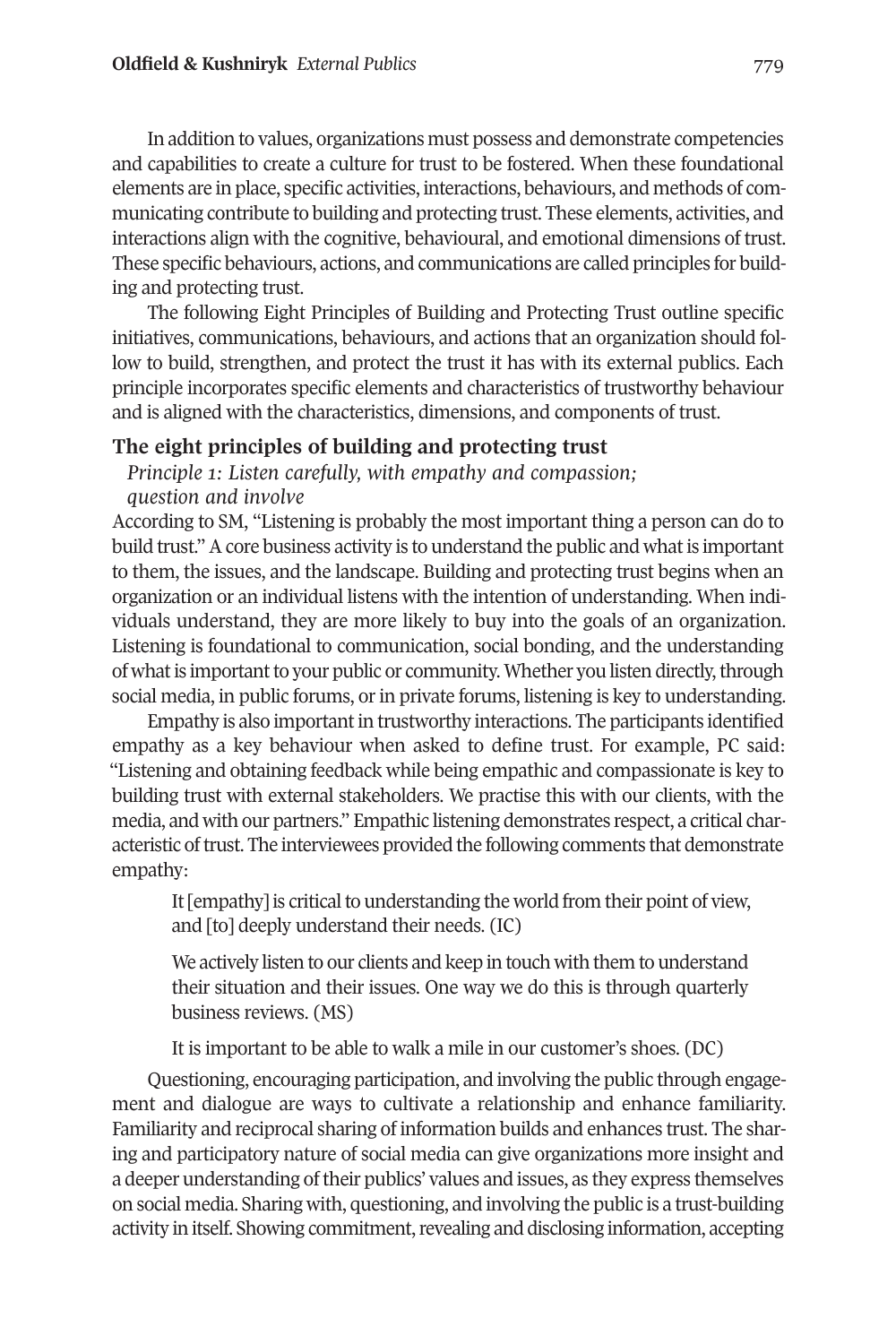In addition to values, organizations must possess and demonstrate competencies and capabilities to create a culture for trust to be fostered. When these foundational elements are in place, specific activities, interactions, behaviours, and methods of communicating contribute to building and protecting trust. These elements, activities, and interactions align with the cognitive, behavioural, and emotional dimensions of trust. These specific behaviours, actions, and communications are called principles for building and protecting trust.

The following Eight Principles of Building and Protecting Trust outline specific initiatives, communications, behaviours, and actions that an organization should follow to build, strengthen, and protect the trust it has with its external publics. Each principle incorporates specific elements and characteristics of trustworthy behaviour and is aligned with the characteristics, dimensions, and components of trust.

# **The eight principles of building and protecting trust**

*Principle 1: Listen carefully, with empathy and compassion; question and involve*

According to SM, "Listening is probably the most important thing a person can do to build trust." A core business activity is to understand the public and what is important to them, the issues, and the landscape. Building and protecting trust begins when an organization or an individual listens with the intention of understanding. When individuals understand, they are more likely to buy into the goals of an organization. Listening is foundational to communication, social bonding, and the understanding of what is important to your public or community. Whether you listen directly, through social media, in public forums, or in private forums, listening is key to understanding.

Empathy is also important in trustworthy interactions. The participants identified empathy as a key behaviour when asked to define trust. For example, PC said: "Listening and obtaining feedback while being empathic and compassionate is key to building trust with external stakeholders. We practise this with our clients, with the media, and with our partners." Empathic listening demonstrates respect, a critical characteristic of trust. The interviewees provided the following comments that demonstrate empathy:

It [empathy] is critical to understanding the world from their point of view, and [to] deeply understand their needs. (IC)

We actively listen to our clients and keep in touch with them to understand their situation and their issues. One way we do this is through quarterly business reviews. (MS)

It is important to be able to walk a mile in our customer's shoes. (DC)

Questioning, encouraging participation, and involving the public through engagement and dialogue are ways to cultivate a relationship and enhance familiarity. Familiarity and reciprocal sharing of information builds and enhances trust. The sharing and participatory nature of social media can give organizations more insight and a deeper understanding oftheir publics' values and issues, as they express themselves on social media. Sharing with, questioning, and involving the public is a trust-building activity in itself. Showing commitment, revealing and disclosing information, accepting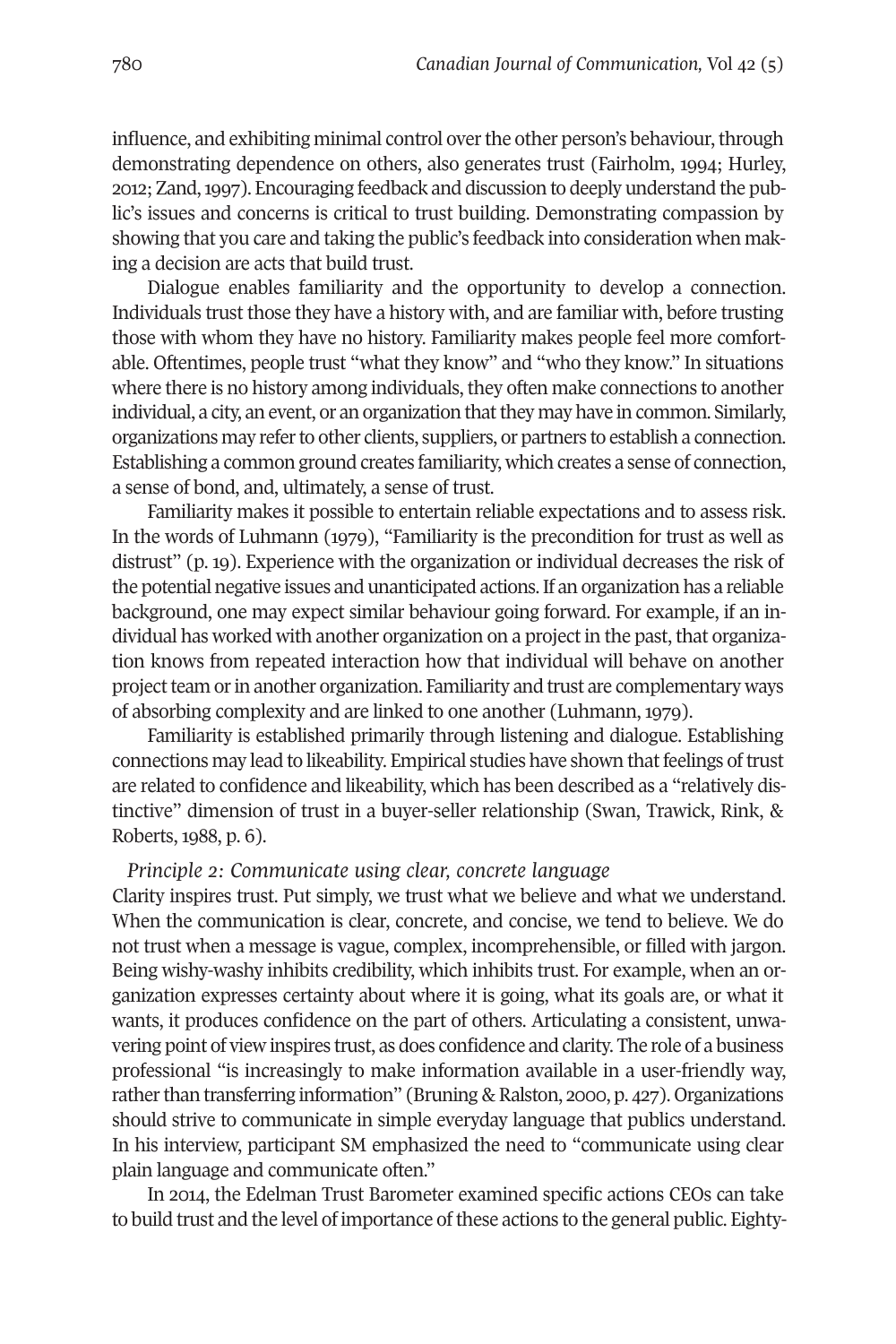influence, and exhibiting minimal control over the other person's behaviour, through demonstrating dependence on others, also generates trust (Fairholm, 1994; Hurley, 2012; Zand,1997). Encouraging feedback and discussion to deeply understand the public's issues and concerns is critical to trust building. Demonstrating compassion by showing that you care and taking the public's feedback into consideration when making a decision are acts that build trust.

Dialogue enables familiarity and the opportunity to develop a connection. Individuals trust those they have a history with, and are familiar with, before trusting those with whom they have no history. Familiarity makes people feel more comfortable. Oftentimes, people trust "what they know" and "who they know." In situations where there is no history among individuals, they often make connections to another individual, a city, an event, or an organization that they may have in common. Similarly, organizations may referto other clients, suppliers, or partners to establish a connection. Establishing a common ground creates familiarity, which creates a sense of connection, a sense of bond, and, ultimately, a sense of trust.

Familiarity makes it possible to entertain reliable expectations and to assess risk. In the words of Luhmann (1979), "Familiarity is the precondition for trust as well as distrust" (p. 19). Experience with the organization or individual decreases the risk of the potential negative issues and unanticipated actions.If an organization has a reliable background, one may expect similar behaviour going forward. For example, if an individual has worked with another organization on a project in the past, that organization knows from repeated interaction how that individual will behave on another project team or in another organization. Familiarity and trust are complementary ways of absorbing complexity and are linked to one another (Luhmann, 1979).

Familiarity is established primarily through listening and dialogue. Establishing connections may lead to likeability. Empirical studies have shown that feelings of trust are related to confidence and likeability, which has been described as a "relatively distinctive" dimension of trust in a buyer-seller relationship (Swan, Trawick, Rink, & Roberts, 1988, p. 6).

## *Principle 2: Communicate using clear, concrete language*

Clarity inspires trust. Put simply, we trust what we believe and what we understand. When the communication is clear, concrete, and concise, we tend to believe. We do not trust when a message is vague, complex, incomprehensible, or filled with jargon. Being wishy-washy inhibits credibility, which inhibits trust. For example, when an organization expresses certainty about where it is going, what its goals are, or what it wants, it produces confidence on the part of others. Articulating a consistent, unwavering point of view inspires trust, as does confidence and clarity. The role of a business professional "is increasingly to make information available in a user-friendly way, rather than transferring information" (Bruning & Ralston, 2000, p. 427). Organizations should strive to communicate in simple everyday language that publics understand. In his interview, participant SM emphasized the need to "communicate using clear plain language and communicate often."

In 2014, the Edelman Trust Barometer examined specific actions CEOs can take to build trust and the level of importance of these actions to the general public. Eighty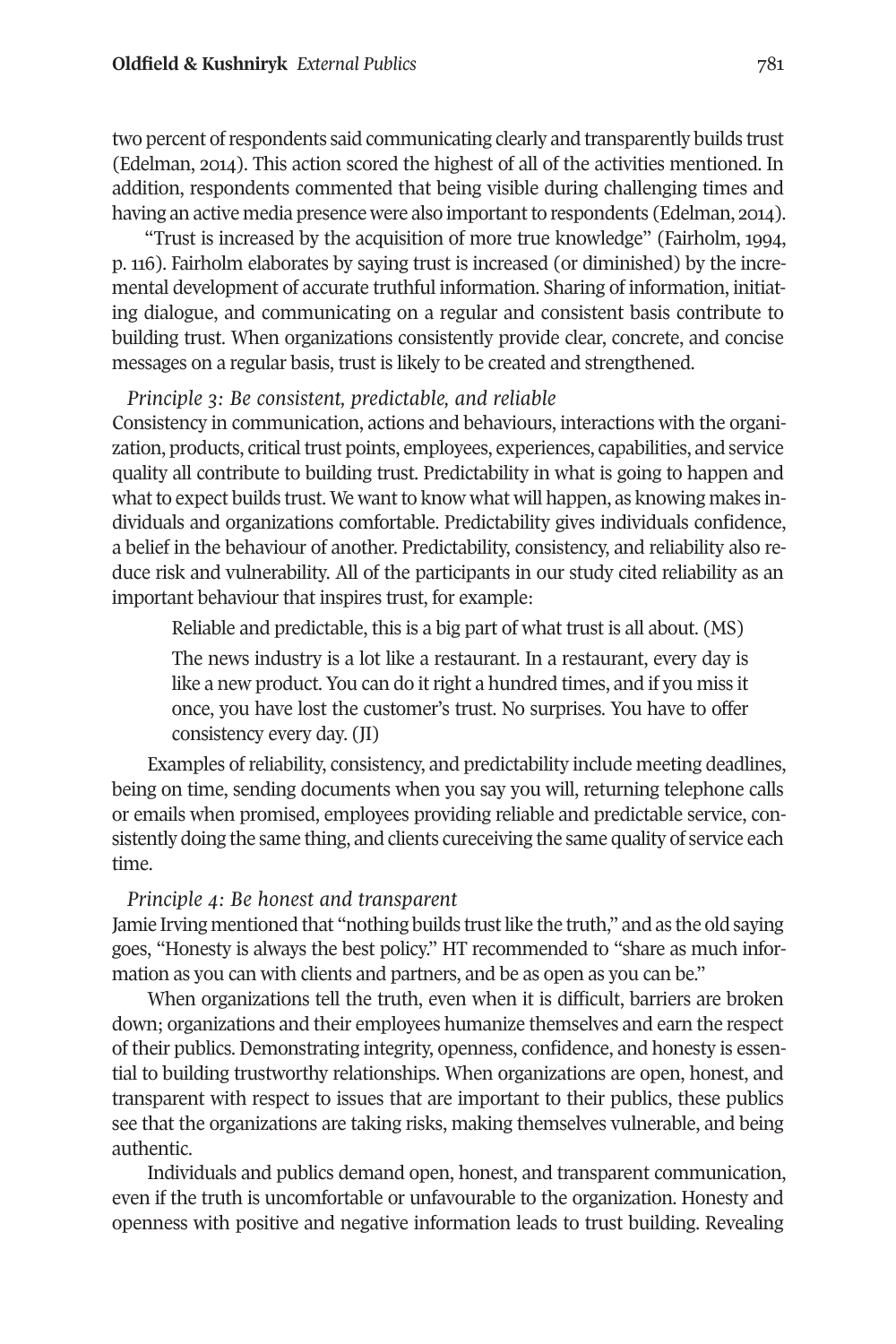two percent ofrespondents said communicating clearly and transparently builds trust (Edelman, 2014). This action scored the highest of all of the activities mentioned. In addition, respondents commented that being visible during challenging times and having an active media presence were also important to respondents (Edelman, 2014).

"Trust is increased by the acquisition of more true knowledge" (Fairholm, 1994, p. 116). Fairholm elaborates by saying trust is increased (or diminished) by the incremental development of accurate truthful information. Sharing of information, initiating dialogue, and communicating on a regular and consistent basis contribute to building trust. When organizations consistently provide clear, concrete, and concise messages on a regular basis, trust is likely to be created and strengthened.

## *Principle 3: Be consistent, predictable, and reliable*

Consistency in communication, actions and behaviours, interactions with the organization, products, critical trust points, employees, experiences, capabilities, and service quality all contribute to building trust. Predictability in what is going to happen and what to expect builds trust. We want to know what will happen, as knowing makes individuals and organizations comfortable. Predictability gives individuals confidence, a belief in the behaviour of another. Predictability, consistency, and reliability also reduce risk and vulnerability. All of the participants in our study cited reliability as an important behaviour that inspires trust, for example:

Reliable and predictable, this is a big part of what trust is all about. (MS)

The news industry is a lot like a restaurant. In a restaurant, every day is like a new product. You can do it right a hundred times, and if you miss it once, you have lost the customer's trust. No surprises. You have to offer consistency every day. (JI)

Examples ofreliability, consistency, and predictability include meeting deadlines, being on time, sending documents when you say you will, returning telephone calls or emails when promised, employees providing reliable and predictable service, consistently doing the same thing, and clients cureceiving the same quality of service each time.

## *Principle 4: Be honest and transparent*

Jamie Irving mentioned that "nothing builds trust like the truth," and as the old saying goes, "Honesty is always the best policy." HT recommended to "share as much information as you can with clients and partners, and be as open as you can be."

When organizations tell the truth, even when it is difficult, barriers are broken down; organizations and their employees humanize themselves and earn the respect of their publics. Demonstrating integrity, openness, confidence, and honesty is essential to building trustworthy relationships. When organizations are open, honest, and transparent with respect to issues that are important to their publics, these publics see that the organizations are taking risks, making themselves vulnerable, and being authentic.

Individuals and publics demand open, honest, and transparent communication, even if the truth is uncomfortable or unfavourable to the organization. Honesty and openness with positive and negative information leads to trust building. Revealing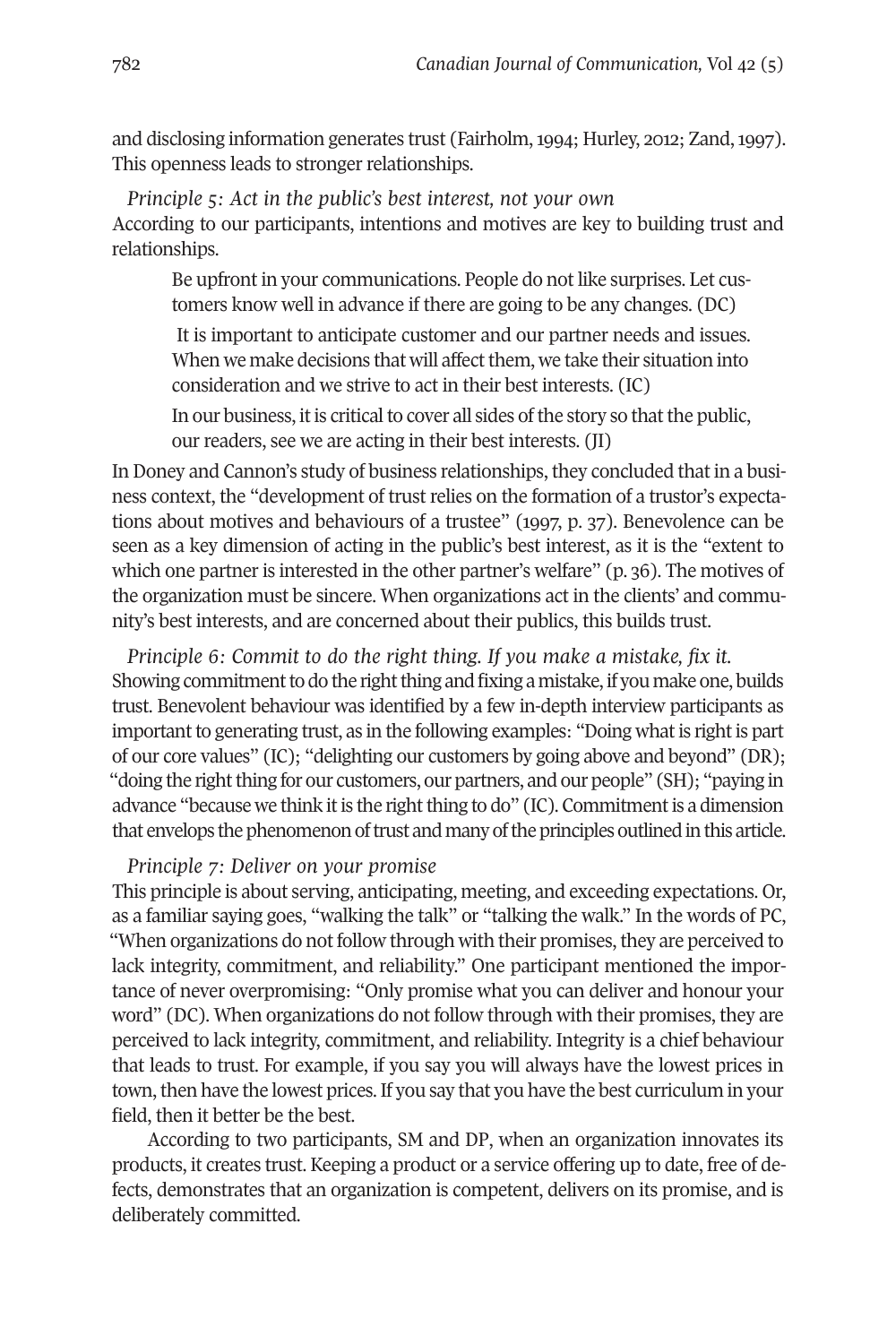and disclosing information generates trust (Fairholm,1994; Hurley, 2012; Zand,1997). This openness leads to stronger relationships.

*Principle 5: Act in the public's best interest, not your own* According to our participants, intentions and motives are key to building trust and relationships.

Be upfront in your communications. People do not like surprises. Let customers know well in advance if there are going to be any changes. (DC)

It is important to anticipate customer and our partner needs and issues. When we make decisions that will affect them, we take their situation into consideration and we strive to act in their best interests. (IC)

In our business, it is critical to cover all sides of the story so that the public, our readers, see we are acting in their best interests. (JI)

In Doney and Cannon's study of business relationships, they concluded that in a business context, the "development of trust relies on the formation of a trustor's expectations about motives and behaviours of a trustee" (1997, p. 37). Benevolence can be seen as a key dimension of acting in the public's best interest, as it is the "extent to which one partner is interested in the other partner's welfare" (p. 36). The motives of the organization must be sincere. When organizations act in the clients' and community's best interests, and are concerned about their publics, this builds trust.

*Principle 6: Commit to do the right thing. If you make a mistake, fix it.* Showing commitment to do the right thing and fixing a mistake, if you make one, builds trust. Benevolent behaviour was identified by a few in-depth interview participants as important to generating trust, as in the following examples: "Doing what is right is part of our core values" (IC); "delighting our customers by going above and beyond" (DR); "doing the right thing for our customers, our partners, and our people" (SH); "paying in advance "because we think it is the right thing to do" (IC). Commitment is a dimension that envelops the phenomenon of trust and many of the principles outlined in this article.

# *Principle 7: Deliver on your promise*

This principle is about serving, anticipating, meeting, and exceeding expectations. Or, as a familiar saying goes, "walking the talk" or "talking the walk." In the words of PC, "When organizations do not follow through with their promises, they are perceived to lack integrity, commitment, and reliability." One participant mentioned the importance of never overpromising: "Only promise what you can deliver and honour your word" (DC). When organizations do not follow through with their promises, they are perceived to lack integrity, commitment, and reliability. Integrity is a chief behaviour that leads to trust. For example, if you say you will always have the lowest prices in town, then have the lowest prices. If you say that you have the best curriculum in your field, then it better be the best.

According to two participants, SM and DP, when an organization innovates its products, it creates trust. Keeping a product or a service offering up to date, free of defects, demonstrates that an organization is competent, delivers on its promise, and is deliberately committed.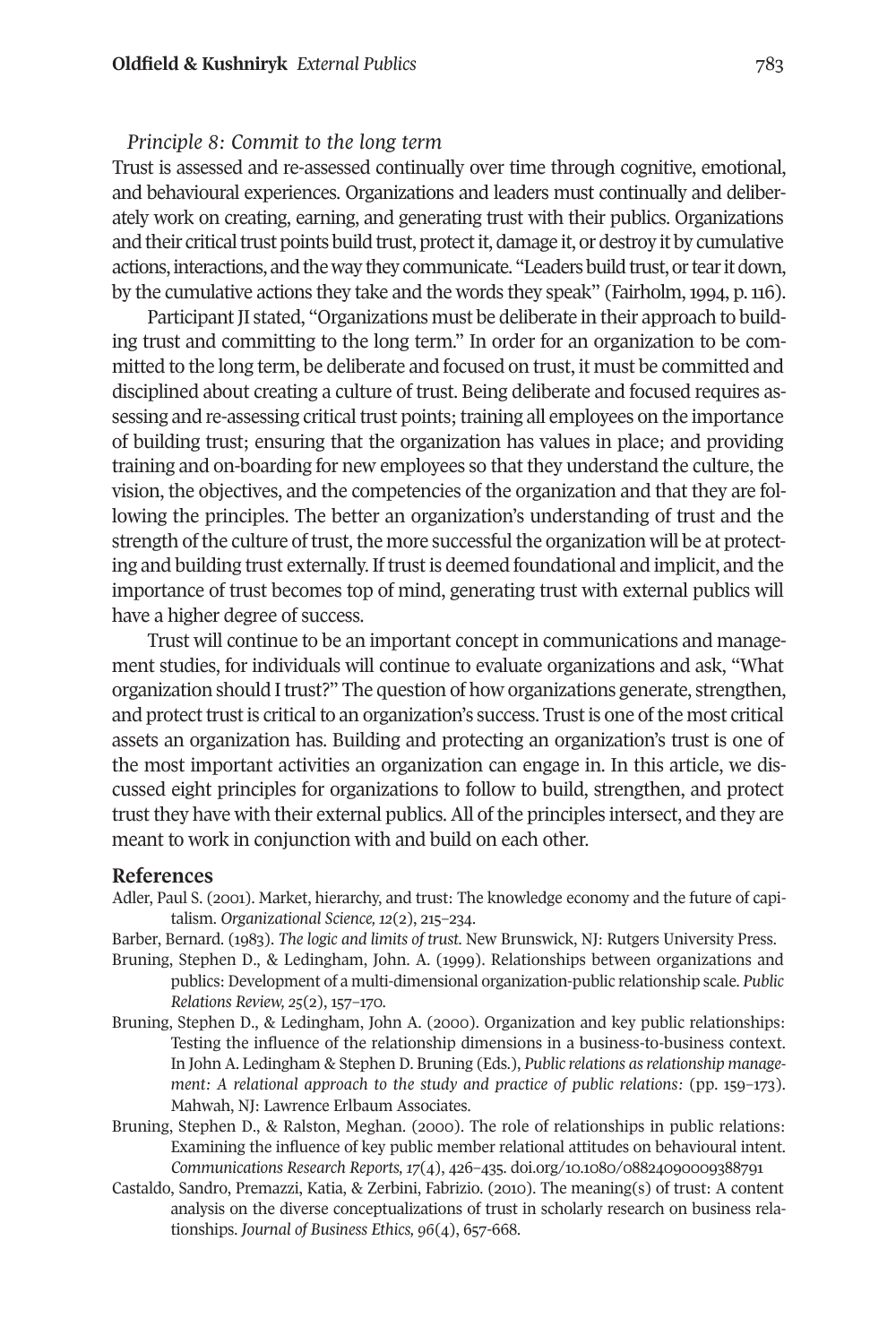## *Principle 8: Commit to the long term*

Trust is assessed and re-assessed continually over time through cognitive, emotional, and behavioural experiences. Organizations and leaders must continually and deliberately work on creating, earning, and generating trust with their publics. Organizations and their critical trust points build trust, protect it, damage it, or destroy it by cumulative actions, interactions, and the way they communicate. "Leaders build trust, or tear it down, by the cumulative actions they take and the words they speak" (Fairholm,1994, p.116).

Participant JI stated, "Organizations must be deliberate in their approach to building trust and committing to the long term." In order for an organization to be committed to the long term, be deliberate and focused on trust, it must be committed and disciplined about creating a culture of trust. Being deliberate and focused requires assessing and re-assessing critical trust points; training all employees on the importance of building trust; ensuring that the organization has values in place; and providing training and on-boarding for new employees so that they understand the culture, the vision, the objectives, and the competencies of the organization and that they are following the principles. The better an organization's understanding of trust and the strength of the culture of trust, the more successful the organization will be at protecting and building trust externally. If trust is deemed foundational and implicit, and the importance of trust becomes top of mind, generating trust with external publics will have a higher degree of success.

Trust will continue to be an important concept in communications and management studies, for individuals will continue to evaluate organizations and ask, "What organization should I trust?" The question of how organizations generate, strengthen, and protect trust is critical to an organization's success. Trust is one of the most critical assets an organization has. Building and protecting an organization's trust is one of the most important activities an organization can engage in. In this article, we discussed eight principles for organizations to follow to build, strengthen, and protect trust they have with their external publics. All of the principles intersect, and they are meant to work in conjunction with and build on each other.

## **References**

Adler, Paul S. (2001). Market, hierarchy, and trust: The knowledge economy and the future of capitalism. *Organizational Science, 12*(2), 215–234.

Barber, Bernard. (1983). *The logic and limits of trust*. New Brunswick, NJ: Rutgers University Press.

- Bruning, Stephen D., & Ledingham, John. A. (1999). Relationships between organizations and publics: Development of a multi-dimensional organization-public relationship scale. *Public Relations Review, 25*(2), 157–170*.*
- Bruning, Stephen D., & Ledingham, John A. (2000). Organization and key public relationships: Testing the influence of the relationship dimensions in a business-to-business context. In John A. Ledingham & Stephen D. Bruning (Eds.), *Public relations asrelationship management: A relational approach to the study and practice of public relations:* (pp. 159–173). Mahwah, NJ: Lawrence Erlbaum Associates.
- Bruning, Stephen D., & Ralston, Meghan. (2000). The role of relationships in public relations: Examining the influence of key public member relational attitudes on behavioural intent. *Communications Research Reports, 17*(4), 426–435. [doi.org/10.1080/08824090009388791](http://doi.org/10.1080/08824090009388791)
- Castaldo, Sandro, Premazzi, Katia, & Zerbini, Fabrizio. (2010). The meaning(s) of trust: A content analysis on the diverse conceptualizations of trust in scholarly research on business relationships. *Journal of Business Ethics, 96*(4), 657-668.